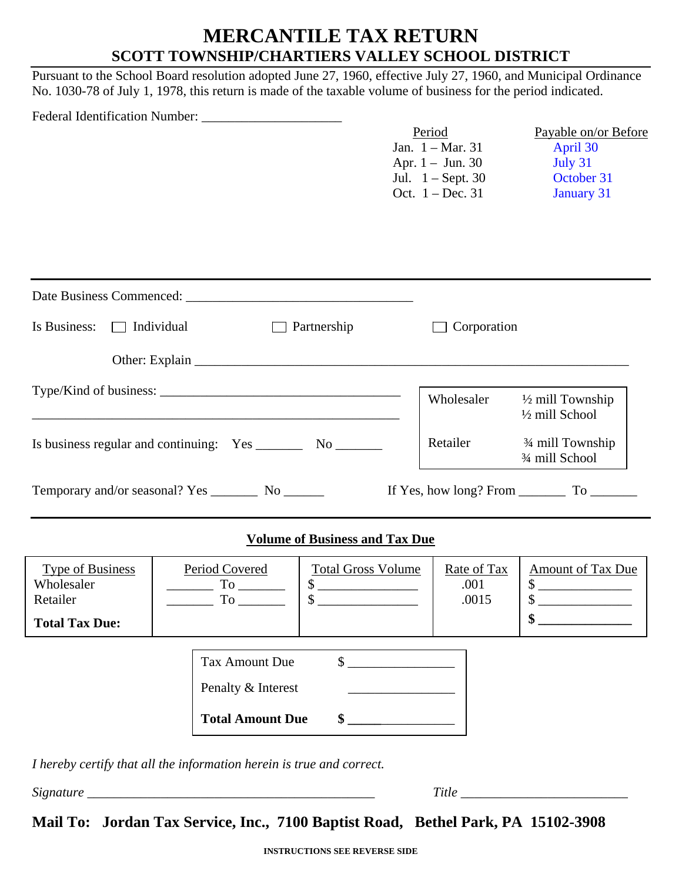## **MERCANTILE TAX RETURN SCOTT TOWNSHIP/CHARTIERS VALLEY SCHOOL DISTRICT**

Pursuant to the School Board resolution adopted June 27, 1960, effective July 27, 1960, and Municipal Ordinance No. 1030-78 of July 1, 1978, this return is made of the taxable volume of business for the period indicated.

|                                                                                                                                                                                   |                                                             | Period<br>Jan. $1 - Mar. 31$<br>Apr. $1 -$ Jun. 30<br>Jul. 1 - Sept. 30<br>Oct. $1 - Dec. 31$ | Payable on/or Before<br>April 30<br>July 31<br>October 31<br><b>January 31</b>                                                     |
|-----------------------------------------------------------------------------------------------------------------------------------------------------------------------------------|-------------------------------------------------------------|-----------------------------------------------------------------------------------------------|------------------------------------------------------------------------------------------------------------------------------------|
|                                                                                                                                                                                   |                                                             |                                                                                               |                                                                                                                                    |
| Is Business: $\Box$ Individual<br>$\Box$ Partnership                                                                                                                              |                                                             | Corporation                                                                                   |                                                                                                                                    |
|                                                                                                                                                                                   |                                                             |                                                                                               |                                                                                                                                    |
|                                                                                                                                                                                   |                                                             | Wholesaler                                                                                    | $\frac{1}{2}$ mill Township<br>1/2 mill School                                                                                     |
|                                                                                                                                                                                   |                                                             |                                                                                               | Retailer <sup>3/4</sup> mill Township<br>3/4 mill School                                                                           |
|                                                                                                                                                                                   |                                                             |                                                                                               |                                                                                                                                    |
|                                                                                                                                                                                   | <b>Volume of Business and Tax Due</b>                       |                                                                                               |                                                                                                                                    |
| Type of Business<br>Period Covered<br>Wholesaler<br>$To$ <sub>_________</sub><br>$\mathbb{R}^n$ . The set of $\mathbb{R}^n$<br>\$<br>Retailer<br>To $\_$<br><b>Total Tax Due:</b> | <b>Total Gross Volume</b><br>$\sim$                         | Rate of Tax<br>.001<br>.0015                                                                  | <b>Amount of Tax Due</b><br>\$<br>the company of the company of the company<br>\$<br>\$<br><u> 1990 - Johann Barbara, martin a</u> |
| <b>Tax Amount Due</b><br>Penalty & Interest<br><b>Total Amount Due</b>                                                                                                            | $\sim$<br><u> 1990 - Johann Barbara, martin a</u><br>$\sim$ |                                                                                               |                                                                                                                                    |
| I hereby certify that all the information herein is true and correct.                                                                                                             |                                                             |                                                                                               |                                                                                                                                    |
|                                                                                                                                                                                   |                                                             |                                                                                               |                                                                                                                                    |

**Mail To: Jordan Tax Service, Inc., 7100 Baptist Road, Bethel Park, PA 15102-3908**